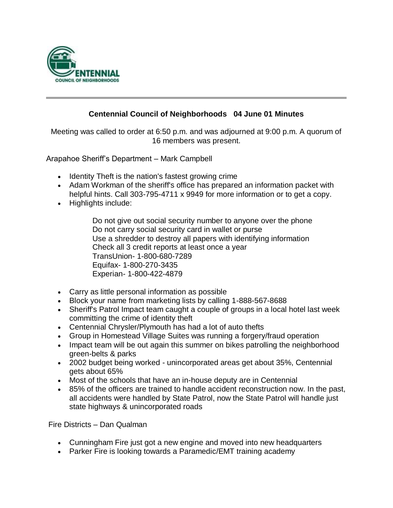

## **Centennial Council of Neighborhoods 04 June 01 Minutes**

Meeting was called to order at 6:50 p.m. and was adjourned at 9:00 p.m. A quorum of 16 members was present.

Arapahoe Sheriff's Department – Mark Campbell

- Identity Theft is the nation's fastest growing crime
- Adam Workman of the sheriff's office has prepared an information packet with helpful hints. Call 303-795-4711 x 9949 for more information or to get a copy.
- Highlights include:

Do not give out social security number to anyone over the phone Do not carry social security card in wallet or purse Use a shredder to destroy all papers with identifying information Check all 3 credit reports at least once a year TransUnion- 1-800-680-7289 Equifax- 1-800-270-3435 Experian- 1-800-422-4879

- Carry as little personal information as possible
- Block your name from marketing lists by calling 1-888-567-8688
- Sheriff's Patrol Impact team caught a couple of groups in a local hotel last week committing the crime of identity theft
- Centennial Chrysler/Plymouth has had a lot of auto thefts
- Group in Homestead Village Suites was running a forgery/fraud operation
- Impact team will be out again this summer on bikes patrolling the neighborhood green-belts & parks
- 2002 budget being worked unincorporated areas get about 35%, Centennial gets about 65%
- Most of the schools that have an in-house deputy are in Centennial
- 85% of the officers are trained to handle accident reconstruction now. In the past, all accidents were handled by State Patrol, now the State Patrol will handle just state highways & unincorporated roads

Fire Districts – Dan Qualman

- Cunningham Fire just got a new engine and moved into new headquarters
- Parker Fire is looking towards a Paramedic/EMT training academy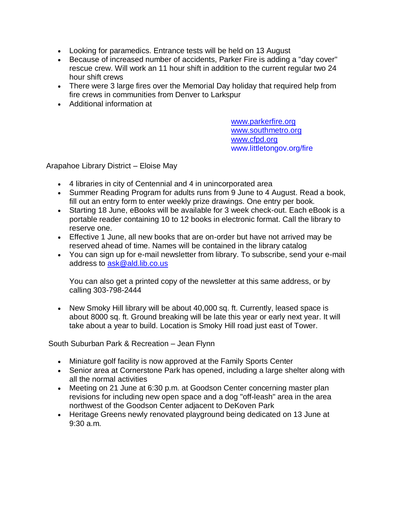- Looking for paramedics. Entrance tests will be held on 13 August
- Because of increased number of accidents, Parker Fire is adding a "day cover" rescue crew. Will work an 11 hour shift in addition to the current regular two 24 hour shift crews
- There were 3 large fires over the Memorial Day holiday that required help from fire crews in communities from Denver to Larkspur
- Additional information at

[www.parkerfire.org](http://www.parkerfire.org/) [www.southmetro.org](http://www.southmetro.org/) [www.cfpd.org](http://www.cfpd.org/) www.littletongov.org/fire

Arapahoe Library District – Eloise May

- 4 libraries in city of Centennial and 4 in unincorporated area
- Summer Reading Program for adults runs from 9 June to 4 August. Read a book, fill out an entry form to enter weekly prize drawings. One entry per book.
- Starting 18 June, eBooks will be available for 3 week check-out. Each eBook is a portable reader containing 10 to 12 books in electronic format. Call the library to reserve one.
- Effective 1 June, all new books that are on-order but have not arrived may be reserved ahead of time. Names will be contained in the library catalog
- You can sign up for e-mail newsletter from library. To subscribe, send your e-mail address to [ask@ald.lib.co.us](mailto:ask@ald.lib.co.us)

You can also get a printed copy of the newsletter at this same address, or by calling 303-798-2444

• New Smoky Hill library will be about 40,000 sq. ft. Currently, leased space is about 8000 sq. ft. Ground breaking will be late this year or early next year. It will take about a year to build. Location is Smoky Hill road just east of Tower.

South Suburban Park & Recreation – Jean Flynn

- Miniature golf facility is now approved at the Family Sports Center
- Senior area at Cornerstone Park has opened, including a large shelter along with all the normal activities
- Meeting on 21 June at 6:30 p.m. at Goodson Center concerning master plan revisions for including new open space and a dog "off-leash" area in the area northwest of the Goodson Center adjacent to DeKoven Park
- Heritage Greens newly renovated playground being dedicated on 13 June at 9:30 a.m.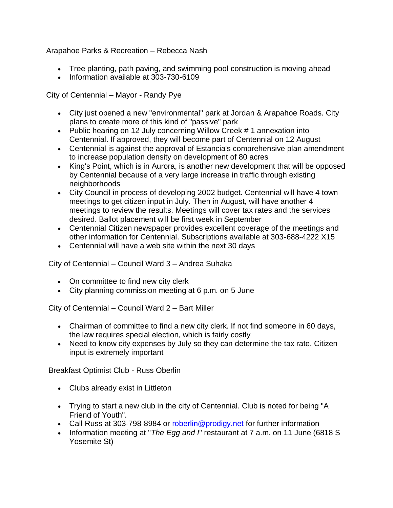Arapahoe Parks & Recreation – Rebecca Nash

- Tree planting, path paving, and swimming pool construction is moving ahead
- Information available at 303-730-6109

City of Centennial – Mayor - Randy Pye

- City just opened a new "environmental" park at Jordan & Arapahoe Roads. City plans to create more of this kind of "passive" park
- Public hearing on 12 July concerning Willow Creek # 1 annexation into Centennial. If approved, they will become part of Centennial on 12 August
- Centennial is against the approval of Estancia's comprehensive plan amendment to increase population density on development of 80 acres
- King's Point, which is in Aurora, is another new development that will be opposed by Centennial because of a very large increase in traffic through existing neighborhoods
- City Council in process of developing 2002 budget. Centennial will have 4 town meetings to get citizen input in July. Then in August, will have another 4 meetings to review the results. Meetings will cover tax rates and the services desired. Ballot placement will be first week in September
- Centennial Citizen newspaper provides excellent coverage of the meetings and other information for Centennial. Subscriptions available at 303-688-4222 X15
- Centennial will have a web site within the next 30 days

City of Centennial – Council Ward 3 – Andrea Suhaka

- On committee to find new city clerk
- City planning commission meeting at 6 p.m. on 5 June

City of Centennial – Council Ward 2 – Bart Miller

- Chairman of committee to find a new city clerk. If not find someone in 60 days, the law requires special election, which is fairly costly
- Need to know city expenses by July so they can determine the tax rate. Citizen input is extremely important

Breakfast Optimist Club - Russ Oberlin

- Clubs already exist in Littleton
- Trying to start a new club in the city of Centennial. Club is noted for being "A Friend of Youth".
- Call Russ at 303-798-8984 or roberlin@prodigy.net for further information
- Information meeting at "*The Egg and I*" restaurant at 7 a.m. on 11 June (6818 S) Yosemite St)